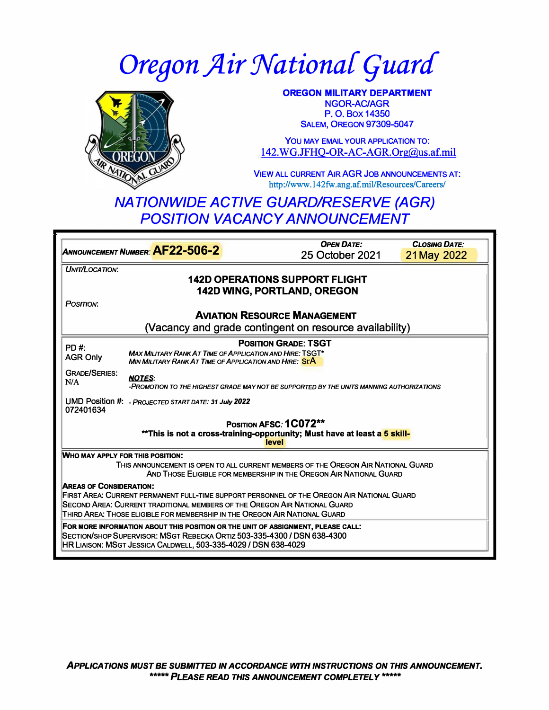# **Oregon Air National Guard**



**OREGON MILITARY DEPARTMENT NGOR-AC/AGR P.O.Box14350 SALEM, OREGON 97309-5047** 

**You MAY EMAIL YOUR APPLICATION TO:**  142.WG.JFHQ-OR-AC-AGR.Org@us.af.mil

**VIEW ALL CURRENT AIR AGR JOB ANNOUNCEMENTS AT: http://www.142fw.ang.a£mil/Resources/Careers/** 

## *NATIONWIDE ACTIVE GUARD/RESERVE (AGR) POSITION VACANCY ANNOUNCEMENT*

|                                                                                                                                                         |                                                                                                                           | <b>OPEN DATE:</b>                                                                                                                                           | <b>CLOSING DATE:</b> |  |
|---------------------------------------------------------------------------------------------------------------------------------------------------------|---------------------------------------------------------------------------------------------------------------------------|-------------------------------------------------------------------------------------------------------------------------------------------------------------|----------------------|--|
| ANNOUNCEMENT NUMBER: AF22-506-2                                                                                                                         |                                                                                                                           | 25 October 2021                                                                                                                                             | 21 May 2022          |  |
| UNIT/LOCATION:                                                                                                                                          |                                                                                                                           |                                                                                                                                                             |                      |  |
|                                                                                                                                                         |                                                                                                                           | <b>142D OPERATIONS SUPPORT FLIGHT</b>                                                                                                                       |                      |  |
| <b>142D WING, PORTLAND, OREGON</b>                                                                                                                      |                                                                                                                           |                                                                                                                                                             |                      |  |
| POSITION:                                                                                                                                               |                                                                                                                           |                                                                                                                                                             |                      |  |
|                                                                                                                                                         |                                                                                                                           | <b>AVIATION RESOURCE MANAGEMENT</b>                                                                                                                         |                      |  |
|                                                                                                                                                         |                                                                                                                           | (Vacancy and grade contingent on resource availability)                                                                                                     |                      |  |
| $PD#$ :                                                                                                                                                 |                                                                                                                           | <b>POSITION GRADE: TSGT</b>                                                                                                                                 |                      |  |
| <b>AGR Only</b>                                                                                                                                         | <b>MAX MILITARY RANK AT TIME OF APPLICATION AND HIRE: TSGT*</b><br>MIN MILITARY RANK AT TIME OF APPLICATION AND HIRE: STA |                                                                                                                                                             |                      |  |
| <b>GRADE/SERIES:</b><br>N/A                                                                                                                             | <b>NOTES:</b>                                                                                                             | -PROMOTION TO THE HIGHEST GRADE MAY NOT BE SUPPORTED BY THE UNITS MANNING AUTHORIZATIONS                                                                    |                      |  |
| 072401634                                                                                                                                               | UMD Position #: - PROJECTED START DATE: 31 July 2022                                                                      |                                                                                                                                                             |                      |  |
|                                                                                                                                                         |                                                                                                                           | POSITION AFSC: 1C072**<br>**This is not a cross-training-opportunity; Must have at least a 5 skill-                                                         |                      |  |
|                                                                                                                                                         |                                                                                                                           | level                                                                                                                                                       |                      |  |
| WHO MAY APPLY FOR THIS POSITION:                                                                                                                        |                                                                                                                           |                                                                                                                                                             |                      |  |
| THIS ANNOUNCEMENT IS OPEN TO ALL CURRENT MEMBERS OF THE OREGON AIR NATIONAL GUARD<br>AND THOSE ELIGIBLE FOR MEMBERSHIP IN THE OREGON AIR NATIONAL GUARD |                                                                                                                           |                                                                                                                                                             |                      |  |
| <b>AREAS OF CONSIDERATION:</b>                                                                                                                          |                                                                                                                           |                                                                                                                                                             |                      |  |
| FIRST AREA: CURRENT PERMANENT FULL-TIME SUPPORT PERSONNEL OF THE OREGON AIR NATIONAL GUARD                                                              |                                                                                                                           |                                                                                                                                                             |                      |  |
|                                                                                                                                                         |                                                                                                                           | <b>SECOND AREA: CURRENT TRADITIONAL MEMBERS OF THE OREGON AIR NATIONAL GUARD</b>                                                                            |                      |  |
|                                                                                                                                                         |                                                                                                                           | THIRD AREA: THOSE ELIGIBLE FOR MEMBERSHIP IN THE OREGON AIR NATIONAL GUARD                                                                                  |                      |  |
|                                                                                                                                                         |                                                                                                                           | FOR MORE INFORMATION ABOUT THIS POSITION OR THE UNIT OF ASSIGNMENT, PLEASE CALL:<br>SECTION/SHOP SUPERVISOR: MSGT REBECKA ORTIZ 503-335-4300 / DSN 638-4300 |                      |  |
|                                                                                                                                                         | <b>HR LIAISON: MSGT JESSICA CALDWELL, 503-335-4029 / DSN 638-4029</b>                                                     |                                                                                                                                                             |                      |  |
|                                                                                                                                                         |                                                                                                                           |                                                                                                                                                             |                      |  |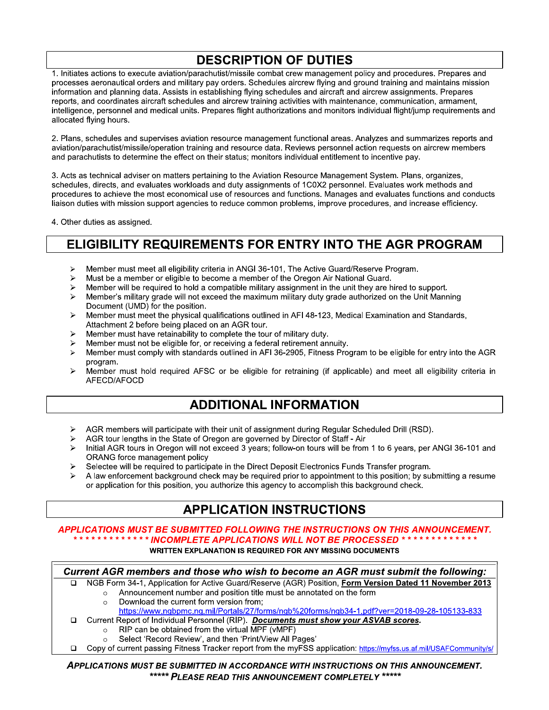# **DESCRIPTION OF DUTIES**

1. Initiates actions to execute aviation/parachutist/missile combat crew management policy and procedures. Prepares and processes aeronautical orders and military pay orders. Schedules aircrew flying and ground training and maintains mission information and planning data. Assists in establishing flying schedules and aircraft and aircrew assignments. Prepares reports, and coordinates aircraft schedules and aircrew training activities with maintenance, communication, armament, intelligence, personnel and medical units. Prepares flight authorizations and monitors individual flight/jump requirements and allocated flying hours.

2. Plans, schedules and supervises aviation resource management functional areas. Analyzes and summarizes reports and aviation/parachutist/missile/operation training and resource data. Reviews personnel action requests on aircrew members and parachutists to determine the effect on their status; monitors individual entitlement to incentive pay.

3. Acts as technical adviser on matters pertaining to the Aviation Resource Management System, Plans, organizes, schedules, directs, and evaluates workloads and duty assignments of 1C0X2 personnel. Evaluates work methods and procedures to achieve the most economical use of resources and functions. Manages and evaluates functions and conducts liaison duties with mission support agencies to reduce common problems, improve procedures, and increase efficiency.

4. Other duties as assigned.

### **ELIGIBILITY REQUIREMENTS FOR ENTRY INTO THE AGR PROGRAM**

- Member must meet all eligibility criteria in ANGI 36-101, The Active Guard/Reserve Program.  $\blacktriangleright$
- Must be a member or eligible to become a member of the Oregon Air National Guard.  $\triangleright$
- Member will be required to hold a compatible military assignment in the unit they are hired to support.  $\blacktriangleright$
- Member's military grade will not exceed the maximum military duty grade authorized on the Unit Manning  $\blacktriangleright$ Document (UMD) for the position.
- $\blacktriangleright$ Member must meet the physical qualifications outlined in AFI 48-123, Medical Examination and Standards, Attachment 2 before being placed on an AGR tour.
- Member must have retainability to complete the tour of military duty.  $\triangleright$
- Member must not be eligible for, or receiving a federal retirement annuity.
- $\blacktriangleright$ Member must comply with standards outlined in AFI 36-2905, Fitness Program to be eligible for entry into the AGR program.
- Member must hold required AFSC or be eligible for retraining (if applicable) and meet all eligibility criteria in  $\triangleright$ AFECD/AFOCD

#### **ADDITIONAL INFORMATION**

- AGR members will participate with their unit of assignment during Regular Scheduled Drill (RSD).  $\blacktriangleright$
- AGR tour lengths in the State of Oregon are governed by Director of Staff Air
- $\triangleright$ Initial AGR tours in Oregon will not exceed 3 years; follow-on tours will be from 1 to 6 years, per ANGI 36-101 and ORANG force management policy
- Selectee will be required to participate in the Direct Deposit Electronics Funds Transfer program.  $\blacktriangleright$
- A law enforcement background check may be required prior to appointment to this position; by submitting a resume  $\blacktriangleright$ or application for this position, you authorize this agency to accomplish this background check.

#### **APPLICATION INSTRUCTIONS**

#### APPLICATIONS MUST BE SUBMITTED FOLLOWING THE INSTRUCTIONS ON THIS ANNOUNCEMENT. \* INCOMPLETE APPLICATIONS WILL NOT BE PROCESSED \* **WRITTEN EXPLANATION IS REQUIRED FOR ANY MISSING DOCUMENTS**

Current AGR members and those who wish to become an AGR must submit the following:  $\Box$ 

- NGB Form 34-1, Application for Active Guard/Reserve (AGR) Position, Form Version Dated 11 November 2013 Announcement number and position title must be annotated on the form  $\circ$ 
	- Download the current form version from:  $\circ$ 
		- https://www.ngbpmc.ng.mil/Portals/27/forms/ngb%20forms/ngb34-1.pdf?ver=2018-09-28-105133-833
- Current Report of Individual Personnel (RIP). Documents must show your ASVAB scores.
	- RIP can be obtained from the virtual MPF (vMPF)  $\circ$
	- Select 'Record Review', and then 'Print/View All Pages'
- Copy of current passing Fitness Tracker report from the myFSS application: https://myfss.us.af.mil/USAFCommunity/s/  $\Box$

APPLICATIONS MUST BE SUBMITTED IN ACCORDANCE WITH INSTRUCTIONS ON THIS ANNOUNCEMENT. \*\*\*\*\* PLEASE READ THIS ANNOUNCEMENT COMPLETELY \*\*\*\*\*